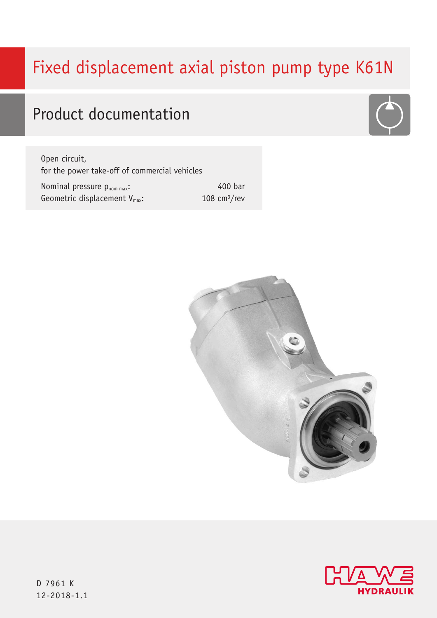# Fixed displacement axial piston pump type K61N

## Product documentation

Open circuit, for the power take-off of commercial vehicles

Nominal pressure pnom max: Geometric displacement V<sub>max</sub>: 400 bar 108 cm3/rev





D 7961 K 12-2018-1.1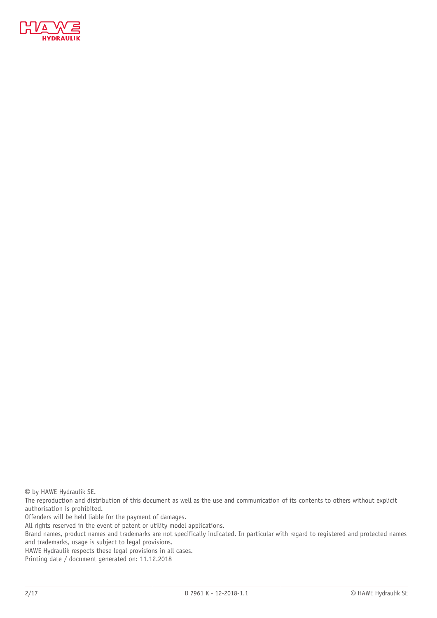

© by HAWE Hydraulik SE.

The reproduction and distribution of this document as well as the use and communication of its contents to others without explicit authorisation is prohibited.

Offenders will be held liable for the payment of damages.

All rights reserved in the event of patent or utility model applications.

Brand names, product names and trademarks are not specifically indicated. In particular with regard to registered and protected names and trademarks, usage is subject to legal provisions.

HAWE Hydraulik respects these legal provisions in all cases.

Printing date / document generated on: 11.12.2018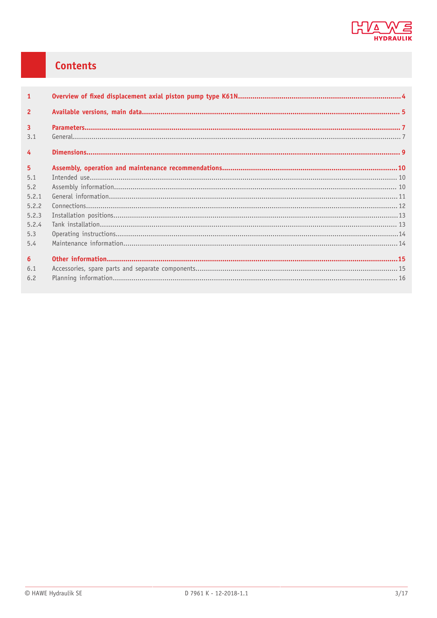

## Contents

| $\mathbf{1}$   |  |
|----------------|--|
| $\overline{2}$ |  |
| $\overline{3}$ |  |
| 3.1            |  |
| $\overline{4}$ |  |
| 5 <sup>1</sup> |  |
| 5.1            |  |
| 5.2            |  |
| 5.2.1          |  |
| 5.2.2          |  |
| 5.2.3          |  |
| 5.2.4          |  |
| 5.3            |  |
| 5.4            |  |
| 6 <sup>5</sup> |  |
| 6.1            |  |
| 6.2            |  |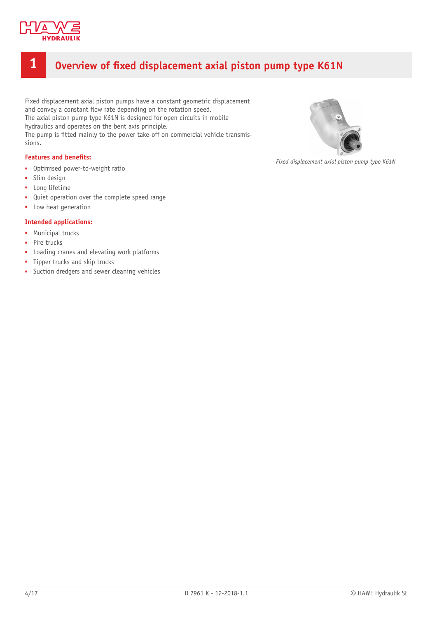

## <span id="page-3-0"></span>**1 Overview of xed displacement axial piston pump type K61N**

Fixed displacement axial piston pumps have a constant geometric displacement and convey a constant flow rate depending on the rotation speed. The axial piston pump type K61N is designed for open circuits in mobile hydraulics and operates on the bent axis principle. The pump is fitted mainly to the power take-off on commercial vehicle transmissions.

#### **Features and benefits:**

- Optimised power-to-weight ratio
- Slim design
- Long lifetime
- Quiet operation over the complete speed range
- Low heat generation

#### **Intended applications:**

- Municipal trucks
- Fire trucks
- Loading cranes and elevating work platforms
- Tipper trucks and skip trucks
- Suction dredgers and sewer cleaning vehicles



*Fixed displacement axial piston pump type K61N*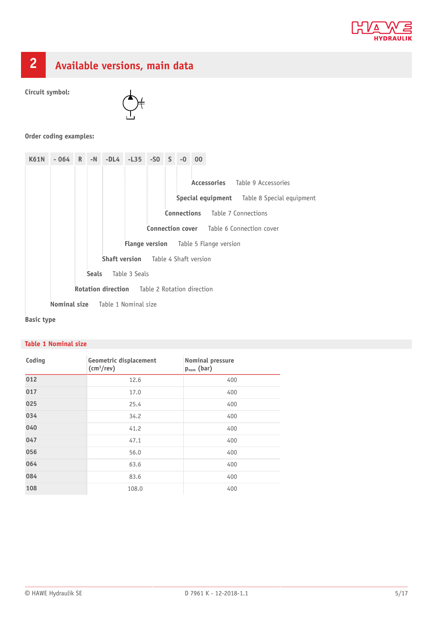



## <span id="page-4-0"></span>**2 Available versions, main data**

**Circuit symbol:**



### **Order coding examples:**

| <b>K61N</b>                                          | $-064$                                     |  |  | R -N -DL4 -L35 | $-SQ$ S |  | $-0$ | 00 |                                              |                                                  |
|------------------------------------------------------|--------------------------------------------|--|--|----------------|---------|--|------|----|----------------------------------------------|--------------------------------------------------|
|                                                      |                                            |  |  |                |         |  |      |    |                                              |                                                  |
|                                                      |                                            |  |  |                |         |  |      |    |                                              | Accessories Table 9 Accessories                  |
|                                                      |                                            |  |  |                |         |  |      |    |                                              | Special equipment Table 8 Special equipment      |
|                                                      |                                            |  |  |                |         |  |      |    |                                              | <b>Connections</b> Table 7 Connections           |
|                                                      |                                            |  |  |                |         |  |      |    |                                              | <b>Connection cover</b> Table 6 Connection cover |
|                                                      |                                            |  |  |                |         |  |      |    | <b>Flange version</b> Table 5 Flange version |                                                  |
|                                                      | <b>Shaft version</b> Table 4 Shaft version |  |  |                |         |  |      |    |                                              |                                                  |
|                                                      | Table 3 Seals<br><b>Seals</b>              |  |  |                |         |  |      |    |                                              |                                                  |
| <b>Rotation direction</b> Table 2 Rotation direction |                                            |  |  |                |         |  |      |    |                                              |                                                  |
| <b>Nominal size</b> Table 1 Nominal size             |                                            |  |  |                |         |  |      |    |                                              |                                                  |

### **Basic type**

### **Table 1 Nominal size**

| Coding | Geometric displacement<br>$\text{(cm}^3\text{/rev)}$ | Nominal pressure<br>$p_{nom}$ (bar) |
|--------|------------------------------------------------------|-------------------------------------|
| 012    | 12.6                                                 | 400                                 |
| 017    | 17.0                                                 | 400                                 |
| 025    | 25.4                                                 | 400                                 |
| 034    | 34.2                                                 | 400                                 |
| 040    | 41.2                                                 | 400                                 |
| 047    | 47.1                                                 | 400                                 |
| 056    | 56.0                                                 | 400                                 |
| 064    | 63.6                                                 | 400                                 |
| 084    | 83.6                                                 | 400                                 |
| 108    | 108.0                                                | 400                                 |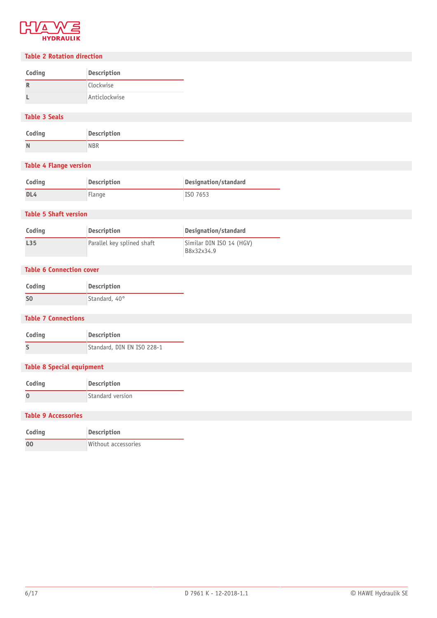

#### **Table 2 Rotation direction**

| Coding | <b>Description</b> |  |  |  |
|--------|--------------------|--|--|--|
| R      | Clockwise          |  |  |  |
|        | Anticlockwise      |  |  |  |

### **Table 3 Seals**

| Coding | <b>Description</b> |  |  |
|--------|--------------------|--|--|
| N      | <b>NBR</b>         |  |  |

### **Table 4 Flange version**

| Coding          | Description | Designation/standard |
|-----------------|-------------|----------------------|
| DL <sub>4</sub> | Flange      | ISO 7653             |

#### **Table 5 Shaft version**

| Coding          | <b>Description</b>         | Designation/standard                   |
|-----------------|----------------------------|----------------------------------------|
| L <sub>35</sub> | Parallel key splined shaft | Similar DIN ISO 14 (HGV)<br>B8x32x34.9 |

### **Table 6 Connection cover**

| Coding         | Description   |
|----------------|---------------|
| S <sub>0</sub> | Standard, 40° |

#### **Table 7 Connections**

| Coding                           | Description                |
|----------------------------------|----------------------------|
| S                                | Standard, DIN EN ISO 228-1 |
| <b>Table 8 Special equipment</b> |                            |
| Coding                           | Description                |
| $\mathbf{0}$                     | Standard version           |
| <b>Table 9 Accessories</b>       |                            |
|                                  |                            |

| Coding         | Description         |
|----------------|---------------------|
| 0 <sub>0</sub> | Without accessories |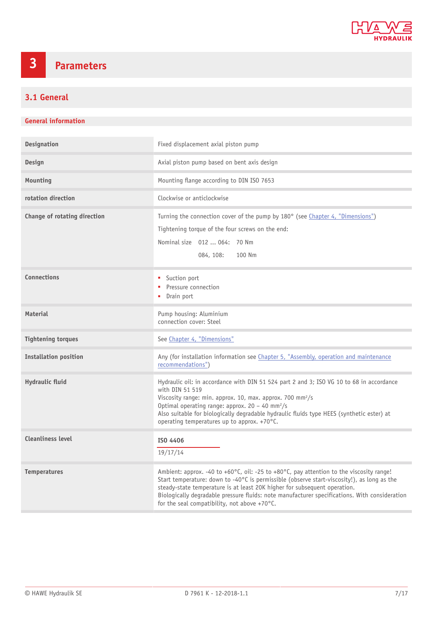

## <span id="page-6-0"></span>**3 Parameters**

## <span id="page-6-1"></span>**3.1 General**

#### **General information**

| <b>Designation</b>           | Fixed displacement axial piston pump                                                                                                                                                                                                                                                                                                                                                                                          |
|------------------------------|-------------------------------------------------------------------------------------------------------------------------------------------------------------------------------------------------------------------------------------------------------------------------------------------------------------------------------------------------------------------------------------------------------------------------------|
| <b>Design</b>                | Axial piston pump based on bent axis design                                                                                                                                                                                                                                                                                                                                                                                   |
| Mounting                     | Mounting flange according to DIN ISO 7653                                                                                                                                                                                                                                                                                                                                                                                     |
| rotation direction           | Clockwise or anticlockwise                                                                                                                                                                                                                                                                                                                                                                                                    |
| Change of rotating direction | Turning the connection cover of the pump by 180° (see Chapter 4, "Dimensions")<br>Tightening torque of the four screws on the end:<br>Nominal size 012  064: 70 Nm<br>100 Nm<br>084, 108:                                                                                                                                                                                                                                     |
| <b>Connections</b>           | Suction port<br>Pressure connection<br>• Drain port                                                                                                                                                                                                                                                                                                                                                                           |
| <b>Material</b>              | Pump housing: Aluminium<br>connection cover: Steel                                                                                                                                                                                                                                                                                                                                                                            |
| <b>Tightening torques</b>    | See Chapter 4, "Dimensions"                                                                                                                                                                                                                                                                                                                                                                                                   |
| <b>Installation position</b> | Any (for installation information see Chapter 5, "Assembly, operation and maintenance<br>recommendations")                                                                                                                                                                                                                                                                                                                    |
| Hydraulic fluid              | Hydraulic oil: in accordance with DIN 51 524 part 2 and 3; ISO VG 10 to 68 in accordance<br>with DIN 51 519<br>Viscosity range: min. approx. 10, max. approx. 700 mm <sup>2</sup> /s<br>Optimal operating range: approx. $20 - 40$ mm <sup>2</sup> /s<br>Also suitable for biologically degradable hydraulic fluids type HEES (synthetic ester) at<br>operating temperatures up to approx. $+70^{\circ}$ C.                   |
| <b>Cleanliness level</b>     | ISO 4406<br>19/17/14                                                                                                                                                                                                                                                                                                                                                                                                          |
| <b>Temperatures</b>          | Ambient: approx. -40 to +60°C, oil: -25 to +80°C, pay attention to the viscosity range!<br>Start temperature: down to -40°C is permissible (observe start-viscosity!), as long as the<br>steady-state temperature is at least 20K higher for subsequent operation.<br>Biologically degradable pressure fluids: note manufacturer specifications. With consideration<br>for the seal compatibility, not above +70 $\degree$ C. |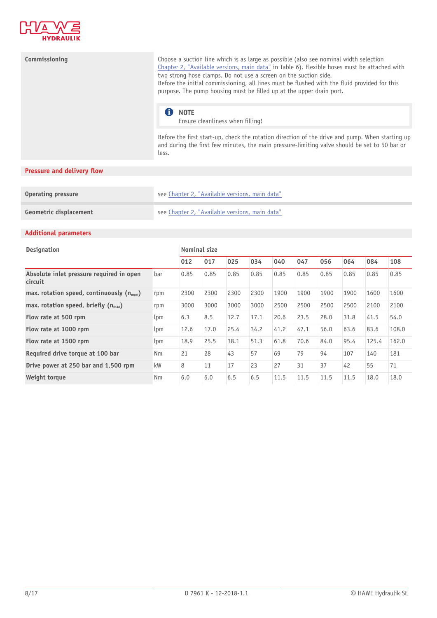

| Commissioning | Choose a suction line which is as large as possible (also see nominal width selection<br>Chapter 2, "Available versions, main data" in Table 6). Flexible hoses must be attached with<br>two strong hose clamps. Do not use a screen on the suction side.<br>Before the initial commissioning, all lines must be flushed with the fluid provided for this<br>purpose. The pump housing must be filled up at the upper drain port. |
|---------------|-----------------------------------------------------------------------------------------------------------------------------------------------------------------------------------------------------------------------------------------------------------------------------------------------------------------------------------------------------------------------------------------------------------------------------------|
|               | <b>NOTE</b><br>Ensure cleanliness when filling!                                                                                                                                                                                                                                                                                                                                                                                   |
|               | Before the first start-up, check the rotation direction of the drive and pump. When starting up<br>and during the first few minutes, the main pressure-limiting valve should be set to 50 bar or                                                                                                                                                                                                                                  |

## **Pressure and delivery flow**

| Operating pressure     | see Chapter 2, "Available versions, main data" |
|------------------------|------------------------------------------------|
| Geometric displacement | see Chapter 2, "Available versions, main data" |

less.

## **Additional parameters**

| <b>Designation</b>                                   |     | <b>Nominal size</b> |      |      |      |      |      |      |      |       |       |
|------------------------------------------------------|-----|---------------------|------|------|------|------|------|------|------|-------|-------|
|                                                      |     | 012                 | 017  | 025  | 034  | 040  | 047  | 056  | 064  | 084   | 108   |
| Absolute inlet pressure required in open<br>circuit  | bar | 0.85                | 0.85 | 0.85 | 0.85 | 0.85 | 0.85 | 0.85 | 0.85 | 0.85  | 0.85  |
| max. rotation speed, continuously $(n_{\text{nom}})$ | rpm | 2300                | 2300 | 2300 | 2300 | 1900 | 1900 | 1900 | 1900 | 1600  | 1600  |
| max. rotation speed, briefly $(n_{max})$             | rpm | 3000                | 3000 | 3000 | 3000 | 2500 | 2500 | 2500 | 2500 | 2100  | 2100  |
| Flow rate at 500 rpm                                 | lpm | 6.3                 | 8.5  | 12.7 | 17.1 | 20.6 | 23.5 | 28.0 | 31.8 | 41.5  | 54.0  |
| Flow rate at 1000 rpm                                | lpm | 12.6                | 17.0 | 25.4 | 34.2 | 41.2 | 47.1 | 56.0 | 63.6 | 83.6  | 108.0 |
| Flow rate at 1500 rpm                                | lpm | 18.9                | 25.5 | 38.1 | 51.3 | 61.8 | 70.6 | 84.0 | 95.4 | 125.4 | 162.0 |
| Required drive torque at 100 bar                     | Nm  | 21                  | 28   | 43   | 57   | 69   | 79   | 94   | 107  | 140   | 181   |
| Drive power at 250 bar and 1,500 rpm                 | kW  | 8                   | 11   | 17   | 23   | 27   | 31   | 37   | 42   | 55    | 71    |
| Weight torque                                        | Nm  | 6.0                 | 6.0  | 6.5  | 6.5  | 11.5 | 11.5 | 11.5 | 11.5 | 18.0  | 18.0  |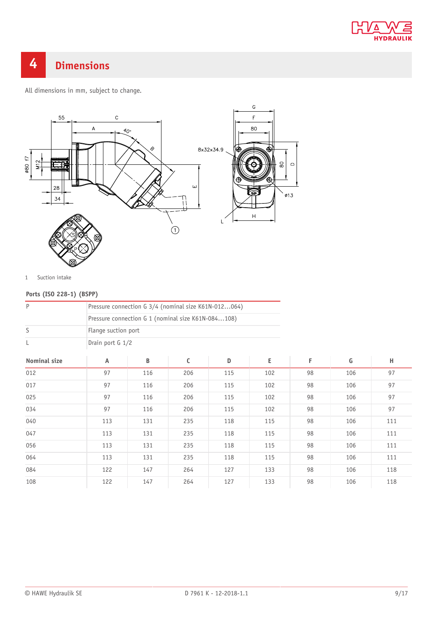

## <span id="page-8-0"></span>**4 Dimensions**

All dimensions in mm, subject to change.



1 Suction intake

## **Ports (ISO 228-1) (BSPP)**

| $\mathsf P$         |                                                    |     | Pressure connection G 3/4 (nominal size K61N-012064) |     |     |    |     |     |
|---------------------|----------------------------------------------------|-----|------------------------------------------------------|-----|-----|----|-----|-----|
|                     | Pressure connection G 1 (nominal size K61N-084108) |     |                                                      |     |     |    |     |     |
| S                   | Flange suction port                                |     |                                                      |     |     |    |     |     |
| L                   | Drain port G 1/2                                   |     |                                                      |     |     |    |     |     |
| <b>Nominal size</b> | A                                                  | B   | $\mathsf C$                                          | D   | E   | F  | G   | н   |
| 012                 | 97                                                 | 116 | 206                                                  | 115 | 102 | 98 | 106 | 97  |
| 017                 | 97                                                 | 116 | 206                                                  | 115 | 102 | 98 | 106 | 97  |
| 025                 | 97                                                 | 116 | 206                                                  | 115 | 102 | 98 | 106 | 97  |
| 034                 | 97                                                 | 116 | 206                                                  | 115 | 102 | 98 | 106 | 97  |
| 040                 | 113                                                | 131 | 235                                                  | 118 | 115 | 98 | 106 | 111 |
| 047                 | 113                                                | 131 | 235                                                  | 118 | 115 | 98 | 106 | 111 |
| 056                 | 113                                                | 131 | 235                                                  | 118 | 115 | 98 | 106 | 111 |
| 064                 | 113                                                | 131 | 235                                                  | 118 | 115 | 98 | 106 | 111 |
| 084                 | 122                                                | 147 | 264                                                  | 127 | 133 | 98 | 106 | 118 |
| 108                 | 122                                                | 147 | 264                                                  | 127 | 133 | 98 | 106 | 118 |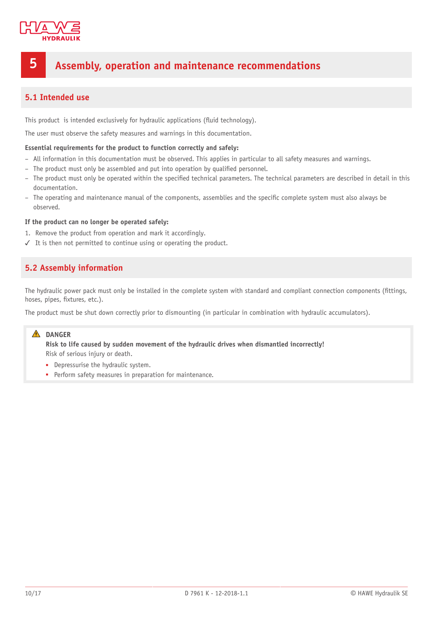

## <span id="page-9-0"></span>**5 Assembly, operation and maintenance recommendations**

## <span id="page-9-1"></span>**5.1 Intended use**

This product is intended exclusively for hydraulic applications (fluid technology).

The user must observe the safety measures and warnings in this documentation.

#### **Essential requirements for the product to function correctly and safely:**

- All information in this documentation must be observed. This applies in particular to all safety measures and warnings.
- The product must only be assembled and put into operation by qualified personnel.
- The product must only be operated within the specified technical parameters. The technical parameters are described in detail in this documentation.
- The operating and maintenance manual of the components, assemblies and the specific complete system must also always be observed.

#### **If the product can no longer be operated safely:**

- 1. Remove the product from operation and mark it accordingly.
- <span id="page-9-2"></span>✓ It is then not permitted to continue using or operating the product.

## **5.2 Assembly information**

The hydraulic power pack must only be installed in the complete system with standard and compliant connection components (fittings, hoses, pipes, fixtures, etc.).

The product must be shut down correctly prior to dismounting (in particular in combination with hydraulic accumulators).

### **DANGER**

**Risk to life caused by sudden movement of the hydraulic drives when dismantled incorrectly!** Risk of serious injury or death.

- Depressurise the hydraulic system.
- Perform safety measures in preparation for maintenance.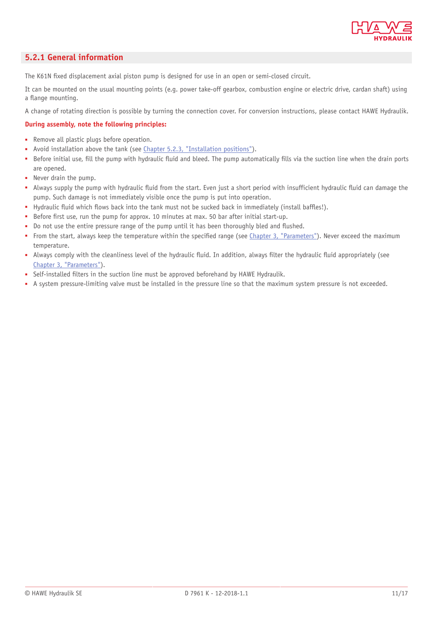

## <span id="page-10-0"></span>**5.2.1 General information**

The K61N fixed displacement axial piston pump is designed for use in an open or semi-closed circuit.

It can be mounted on the usual mounting points (e.g. power take-off gearbox, combustion engine or electric drive, cardan shaft) using a flange mounting.

A change of rotating direction is possible by turning the connection cover. For conversion instructions, please contact HAWE Hydraulik.

#### **During assembly, note the following principles:**

- Remove all plastic plugs before operation.
- Avoid installation above the tank (see [Chapter 5.2.3, "Installation positions"](#page-12-0)).
- Before initial use, fill the pump with hydraulic fluid and bleed. The pump automatically fills via the suction line when the drain ports are opened.
- Never drain the pump.
- Always supply the pump with hydraulic fluid from the start. Even just a short period with insufficient hydraulic fluid can damage the pump. Such damage is not immediately visible once the pump is put into operation.
- Hydraulic fluid which flows back into the tank must not be sucked back in immediately (install baffles!).
- Before first use, run the pump for approx. 10 minutes at max. 50 bar after initial start-up.
- Do not use the entire pressure range of the pump until it has been thoroughly bled and flushed.
- From the start, always keep the temperature within the specified range (see [Chapter 3, "Parameters"\)](#page-6-0). Never exceed the maximum temperature.
- Always comply with the cleanliness level of the hydraulic fluid. In addition, always filter the hydraulic fluid appropriately (see [Chapter 3, "Parameters"](#page-6-0)).
- Self-installed filters in the suction line must be approved beforehand by HAWE Hydraulik.
- A system pressure-limiting valve must be installed in the pressure line so that the maximum system pressure is not exceeded.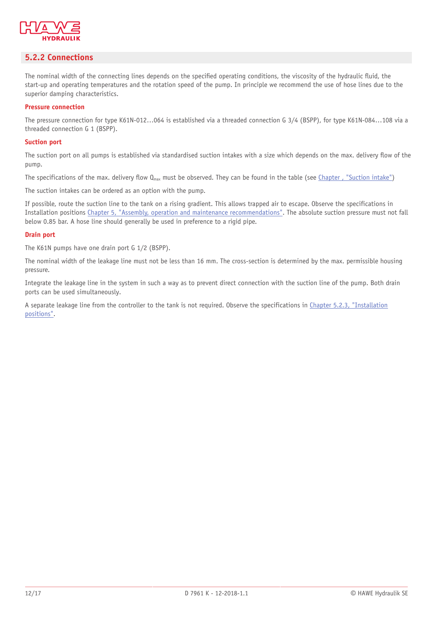

## <span id="page-11-0"></span>**5.2.2 Connections**

The nominal width of the connecting lines depends on the specified operating conditions, the viscosity of the hydraulic fluid, the start-up and operating temperatures and the rotation speed of the pump. In principle we recommend the use of hose lines due to the superior damping characteristics.

#### **Pressure connection**

The pressure connection for type K61N-012…064 is established via a threaded connection G 3/4 (BSPP), for type K61N-084…108 via a threaded connection G 1 (BSPP).

#### **Suction port**

The suction port on all pumps is established via standardised suction intakes with a size which depends on the max. delivery flow of the pump.

The specifications of the max. delivery flow  $Q_{max}$  must be observed. They can be found in the table (see Chapter, "Suction intake")

The suction intakes can be ordered as an option with the pump.

If possible, route the suction line to the tank on a rising gradient. This allows trapped air to escape. Observe the specifications in Installation positions [Chapter 5, "Assembly, operation and maintenance recommendations"](#page-9-0). The absolute suction pressure must not fall below 0.85 bar. A hose line should generally be used in preference to a rigid pipe.

#### **Drain port**

The K61N pumps have one drain port G 1/2 (BSPP).

The nominal width of the leakage line must not be less than 16 mm. The cross-section is determined by the max. permissible housing pressure.

Integrate the leakage line in the system in such a way as to prevent direct connection with the suction line of the pump. Both drain ports can be used simultaneously.

A separate leakage line from the controller to the tank is not required. Observe the specifications in [Chapter 5.2.3, "Installation](#page-12-0) [positions".](#page-12-0)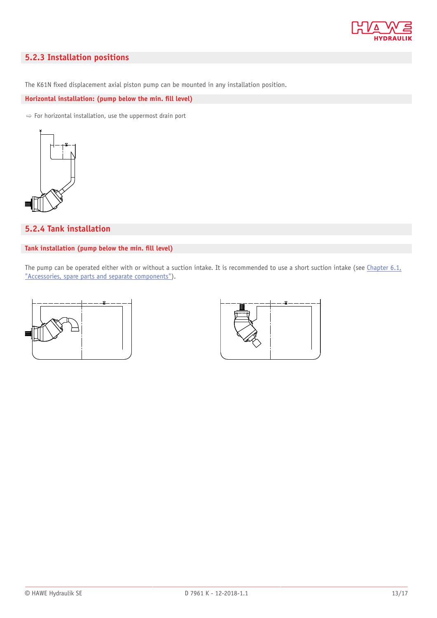

## <span id="page-12-0"></span>**5.2.3 Installation positions**

The K61N fixed displacement axial piston pump can be mounted in any installation position.

Horizontal installation: (pump below the min. fill level)

 $\Rightarrow$  For horizontal installation, use the uppermost drain port



## <span id="page-12-1"></span>**5.2.4 Tank installation**

#### Tank installation (pump below the min. fill level)

The pump can be operated either with or without a suction intake. It is recommended to use a short suction intake (see [Chapter 6.1,](#page-14-1) ["Accessories, spare parts and separate components"](#page-14-1)).



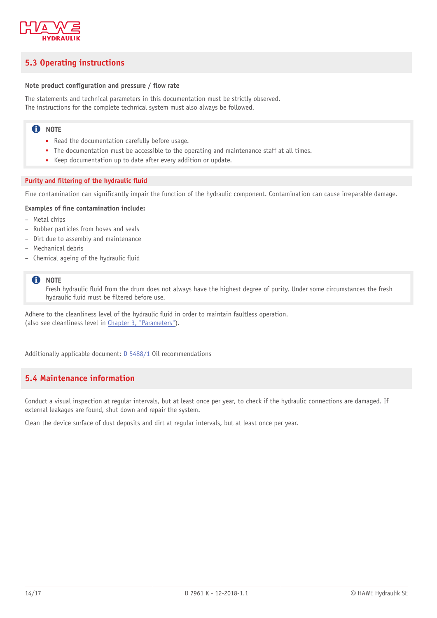

## <span id="page-13-0"></span>**5.3 Operating instructions**

#### Note product configuration and pressure / flow rate

The statements and technical parameters in this documentation must be strictly observed. The instructions for the complete technical system must also always be followed.

### **n** NOTE

- Read the documentation carefully before usage.
- The documentation must be accessible to the operating and maintenance staff at all times.
- Keep documentation up to date after every addition or update.

#### **Purity and filtering of the hydraulic fluid**

Fine contamination can significantly impair the function of the hydraulic component. Contamination can cause irreparable damage.

#### **Examples of fine contamination include:**

- Metal chips
- Rubber particles from hoses and seals
- Dirt due to assembly and maintenance
- Mechanical debris
- $-$  Chemical ageing of the hydraulic fluid

#### A **NOTE**

Fresh hydraulic fluid from the drum does not always have the highest degree of purity. Under some circumstances the fresh hydraulic fluid must be filtered before use.

Adhere to the cleanliness level of the hydraulic fluid in order to maintain faultless operation. (also see cleanliness level in [Chapter 3, "Parameters"\)](#page-6-0).

<span id="page-13-1"></span>Additionally applicable document: [D 5488/1](http://downloads.hawe.com/5/4/D54881-en.pdf) Oil recommendations

## **5.4 Maintenance information**

Conduct a visual inspection at regular intervals, but at least once per year, to check if the hydraulic connections are damaged. If external leakages are found, shut down and repair the system.

Clean the device surface of dust deposits and dirt at regular intervals, but at least once per year.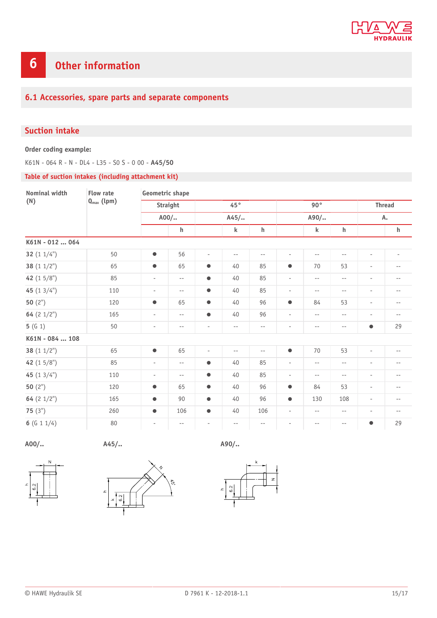

## <span id="page-14-0"></span>**6 Other information**

## <span id="page-14-1"></span>**6.1 Accessories, spare parts and separate components**

## <span id="page-14-2"></span>**Suction intake**

**Order coding example:**

K61N - 064 R - N - DL4 - L35 - S0 S - 0 00 - **A45/50**

#### **Table of suction intakes (including attachment kit)**

| Nominal width   | <b>Flow rate</b><br>$Q_{\text{max}}$ (lpm) | Geometric shape          |                          |                          |                          |                          |                          |                          |                          |                          |                          |  |
|-----------------|--------------------------------------------|--------------------------|--------------------------|--------------------------|--------------------------|--------------------------|--------------------------|--------------------------|--------------------------|--------------------------|--------------------------|--|
| (N)             |                                            | Straight<br>$A00/$       |                          | 45°<br>$A45/$            |                          |                          | $90^{\circ}$<br>$A90/$   |                          |                          | <b>Thread</b><br>А.      |                          |  |
|                 |                                            |                          |                          |                          |                          |                          |                          |                          |                          |                          |                          |  |
|                 |                                            | K61N - 012  064          |                          |                          |                          |                          |                          |                          |                          |                          |                          |  |
| 32 $(11/4")$    | 50                                         | $\bullet$                | 56                       | $\overline{\phantom{a}}$ | $- -$                    | $\overline{\phantom{m}}$ | $\overline{\phantom{a}}$ | $\overline{\phantom{m}}$ | $-\,-$                   | $\sim$                   | $\overline{\phantom{a}}$ |  |
| 38 $(11/2")$    | 65                                         | $\bullet$                | 65                       | $\bullet$                | 40                       | 85                       | $\bullet$                | 70                       | 53                       | $\overline{\phantom{a}}$ | $-\,-$                   |  |
| 42 $(15/8")$    | 85                                         | $\overline{\phantom{a}}$ | $ -$                     | $\bullet$                | 40                       | 85                       | $\overline{\phantom{a}}$ | $\overline{\phantom{m}}$ | $- -$                    | $\overline{\phantom{a}}$ | --                       |  |
| 45 $(13/4")$    | 110                                        | $\overline{\phantom{a}}$ | $- \, -$                 | $\bullet$                | 40                       | 85                       | $\overline{\phantom{a}}$ | $- -$                    | $-\,-$                   | $\overline{\phantom{a}}$ | $-$                      |  |
| 50 $(2")$       | 120                                        | $\bullet$                | 65                       | $\bullet$                | 40                       | 96                       | $\bullet$                | 84                       | 53                       | $\overline{\phantom{a}}$ | $-\,-$                   |  |
| 64 $(2 1/2")$   | 165                                        | $\overline{\phantom{a}}$ | $\sim$ $-$               | $\bullet$                | 40                       | 96                       | $\overline{\phantom{a}}$ | $\overline{\phantom{m}}$ | $-\,-$                   | $\overline{\phantom{a}}$ | $\overline{\phantom{m}}$ |  |
| 5(G1)           | 50                                         | $\sim$                   | $\overline{\phantom{m}}$ | $\overline{\phantom{a}}$ | $\overline{\phantom{m}}$ | $\overline{\phantom{m}}$ | $\overline{\phantom{a}}$ | $\overline{\phantom{m}}$ | $- -$                    | $\bullet$                | 29                       |  |
| K61N - 084  108 |                                            |                          |                          |                          |                          |                          |                          |                          |                          |                          |                          |  |
| 38 $(11/2")$    | 65                                         | $\bullet$                | 65                       | $\overline{\phantom{a}}$ | $- -$                    | $\overline{\phantom{m}}$ | $\bullet$                | 70                       | 53                       | $\overline{\phantom{a}}$ | $- \, -$                 |  |
| 42 $(15/8")$    | 85                                         | $\sim$                   | $ -$                     | $\bullet$                | 40                       | 85                       | $\overline{\phantom{a}}$ | $\overline{\phantom{m}}$ | $\overline{\phantom{m}}$ | $\overline{\phantom{a}}$ | $-$                      |  |
| 45 $(13/4")$    | 110                                        | $\overline{\phantom{a}}$ | $- \, -$                 | $\bullet$                | 40                       | 85                       | $\overline{\phantom{a}}$ | $-\,-$                   | $-\,-$                   | $\overline{\phantom{a}}$ | --                       |  |
| 50 $(2")$       | 120                                        | $\bullet$                | 65                       | $\bullet$                | 40                       | 96                       | $\bullet$                | 84                       | 53                       | $\overline{\phantom{a}}$ | $-\,-$                   |  |
| 64 $(2 1/2")$   | 165                                        | $\bullet$                | 90                       | $\bullet$                | 40                       | 96                       | $\bullet$                | 130                      | 108                      | $\overline{\phantom{a}}$ | $\overline{\phantom{m}}$ |  |
| 75 $(3")$       | 260                                        | $\bullet$                | 106                      | $\bullet$                | 40                       | 106                      | $\overline{\phantom{a}}$ | $- -$                    | $ -$                     | $\overline{\phantom{a}}$ | $-\,-$                   |  |
| 6 (G 1 $1/4$ )  | 80                                         | $\overline{\phantom{a}}$ | $\overline{\phantom{m}}$ | $\overline{\phantom{a}}$ | $\overline{\phantom{m}}$ | $\overline{\phantom{m}}$ | $\overline{\phantom{a}}$ | $\overline{\phantom{m}}$ | $- -$                    | $\bullet$                | 29                       |  |

**A00/.. A45/.. A90/..**





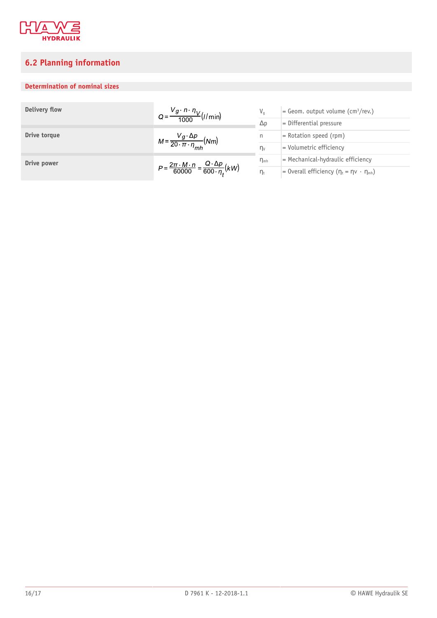

## <span id="page-15-0"></span>**6.2 Planning information**

## **Determination of nominal sizes**

| Delivery flow | $Q = \frac{V_g \cdot n \cdot \eta_V}{1000} (l/min)$                                          | $V_a$           | $=$ Geom. output volume (cm <sup>3</sup> /rev.)              |  |  |  |
|---------------|----------------------------------------------------------------------------------------------|-----------------|--------------------------------------------------------------|--|--|--|
|               | 1000                                                                                         | $\Delta p$      | $=$ Differential pressure                                    |  |  |  |
| Drive torque  | $M = \frac{V_g \cdot \Delta p}{20 \cdot \pi \cdot \eta_{mh}} (Nm)$                           | n               | $=$ Rotation speed (rpm)                                     |  |  |  |
|               |                                                                                              | $\eta_V$        | $=$ Volumetric efficiency                                    |  |  |  |
| Drive power   |                                                                                              | $\eta_{\rm mh}$ | $=$ Mechanical-hydraulic efficiency                          |  |  |  |
|               | $P = \frac{2\pi \cdot M \cdot n}{60000} = \frac{Q \cdot \Delta p}{600 \cdot n_{\star}} (kW)$ | $\eta_t$        | = 0 verall efficiency $(\eta_t = \eta \vee \cdot \eta_{mh})$ |  |  |  |